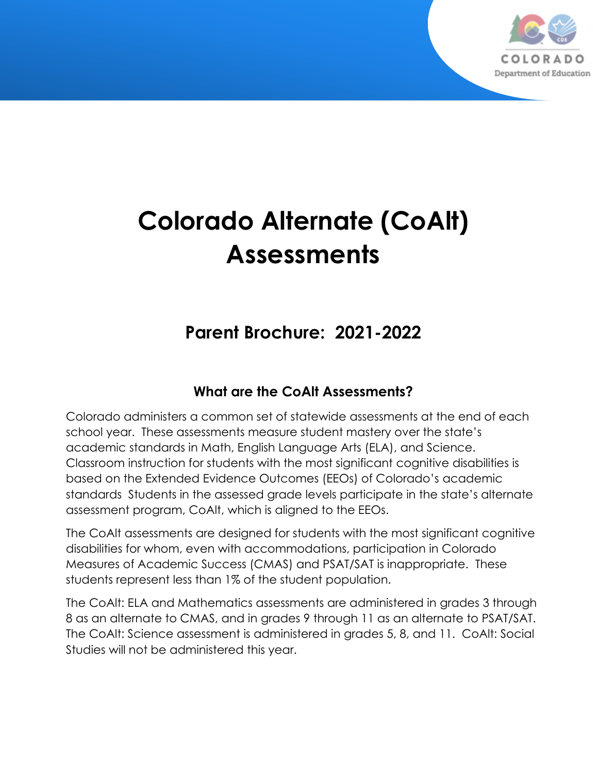

# **Colorado Alternate (CoAlt) Assessments**

# **Parent Brochure: 2021-2022**

## **What are the CoAlt Assessments?**

Colorado administers a common set of statewide assessments at the end of each school year. These assessments measure student mastery over the state's academic standards in Math, English Language Arts (ELA), and Science. Classroom instruction for students with the most significant cognitive disabilities is based on the Extended Evidence Outcomes (EEOs) of Colorado's academic standards Students in the assessed grade levels participate in the state's alternate assessment program, CoAlt, which is aligned to the EEOs.

The CoAlt assessments are designed for students with the most significant cognitive disabilities for whom, even with accommodations, participation in Colorado Measures of Academic Success (CMAS) and PSAT/SAT is inappropriate. These students represent less than 1% of the student population.

The CoAlt: ELA and Mathematics assessments are administered in grades 3 through 8 as an alternate to CMAS, and in grades 9 through 11 as an alternate to PSAT/SAT. The CoAlt: Science assessment is administered in grades 5, 8, and 11. CoAlt: Social Studies will not be administered this year.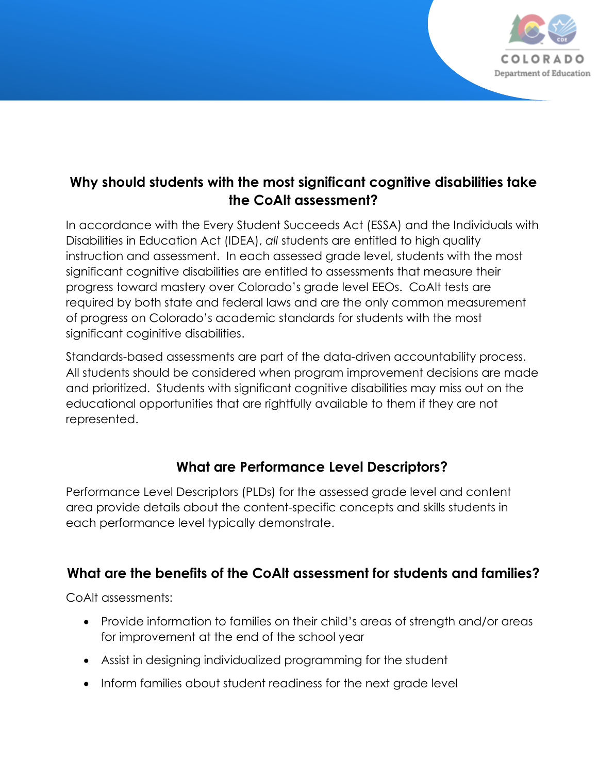

#### **Why should students with the most significant cognitive disabilities take the CoAlt assessment?**

In accordance with the Every Student Succeeds Act (ESSA) and the Individuals with Disabilities in Education Act (IDEA), *all* students are entitled to high quality instruction and assessment. In each assessed grade level, students with the most significant cognitive disabilities are entitled to assessments that measure their progress toward mastery over Colorado's grade level EEOs. CoAlt tests are required by both state and federal laws and are the only common measurement of progress on Colorado's academic standards for students with the most significant coginitive disabilities.

Standards-based assessments are part of the data-driven accountability process. All students should be considered when program improvement decisions are made and prioritized. Students with significant cognitive disabilities may miss out on the educational opportunities that are rightfully available to them if they are not represented.

#### **What are Performance Level Descriptors?**

Performance Level Descriptors (PLDs) for the assessed grade level and content area provide details about the content-specific concepts and skills students in each performance level typically demonstrate.

#### **What are the benefits of the CoAlt assessment for students and families?**

CoAlt assessments:

- Provide information to families on their child's areas of strength and/or areas for improvement at the end of the school year
- Assist in designing individualized programming for the student
- Inform families about student readiness for the next grade level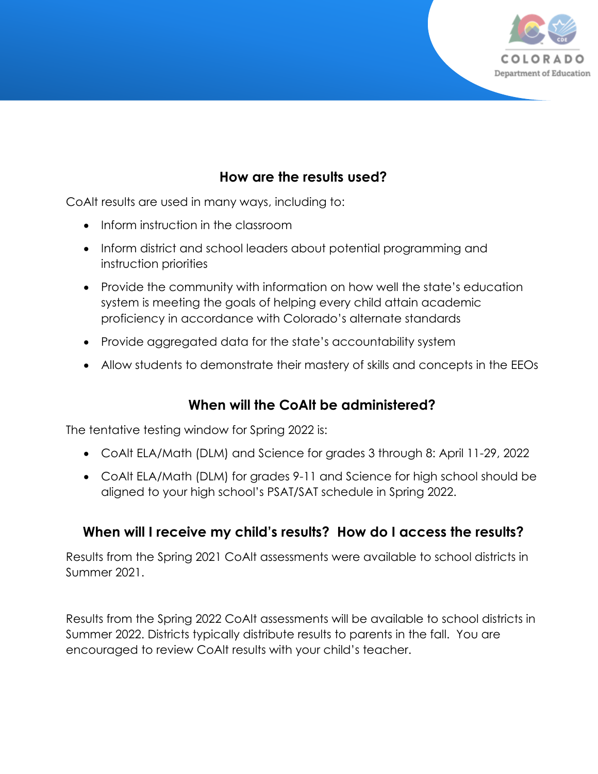

#### **How are the results used?**

CoAlt results are used in many ways, including to:

- Inform instruction in the classroom
- Inform district and school leaders about potential programming and instruction priorities
- Provide the community with information on how well the state's education system is meeting the goals of helping every child attain academic proficiency in accordance with Colorado's alternate standards
- Provide aggregated data for the state's accountability system
- Allow students to demonstrate their mastery of skills and concepts in the EEOs

#### **When will the CoAlt be administered?**

The tentative testing window for Spring 2022 is:

- CoAlt ELA/Math (DLM) and Science for grades 3 through 8: April 11-29, 2022
- CoAlt ELA/Math (DLM) for grades 9-11 and Science for high school should be aligned to your high school's PSAT/SAT schedule in Spring 2022.

#### **When will I receive my child's results? How do I access the results?**

Results from the Spring 2021 CoAlt assessments were available to school districts in Summer 2021.

Results from the Spring 2022 CoAlt assessments will be available to school districts in Summer 2022. Districts typically distribute results to parents in the fall. You are encouraged to review CoAlt results with your child's teacher.